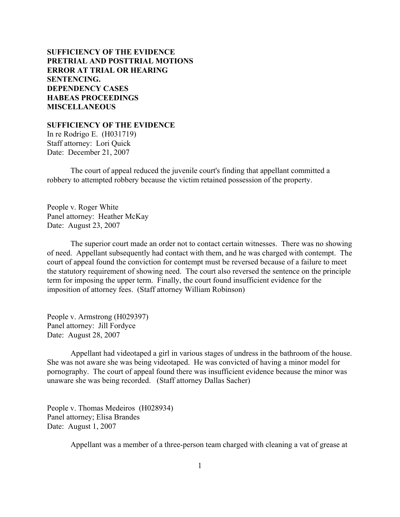# **SUFFICIENCY OF THE EVIDENCE [PRETRIAL AND POSTTRIAL MOTIONS](#page-2-0) [ERROR AT TRIAL OR HEARING](#page-8-0) [SENTENCING.](#page-14-0) [DEPENDENCY CASES](#page-28-0) [HABEAS PROCEEDINGS](#page-31-0) [MISCELLANEOUS](#page-33-0)**

**SUFFICIENCY OF THE EVIDENCE**

In re Rodrigo E. (H031719) Staff attorney: Lori Quick Date: December 21, 2007

The court of appeal reduced the juvenile court's finding that appellant committed a robbery to attempted robbery because the victim retained possession of the property.

People v. Roger White Panel attorney: Heather McKay Date: August 23, 2007

The superior court made an order not to contact certain witnesses. There was no showing of need. Appellant subsequently had contact with them, and he was charged with contempt. The court of appeal found the conviction for contempt must be reversed because of a failure to meet the statutory requirement of showing need. The court also reversed the sentence on the principle term for imposing the upper term. Finally, the court found insufficient evidence for the imposition of attorney fees. (Staff attorney William Robinson)

People v. Armstrong (H029397) Panel attorney: Jill Fordyce Date: August 28, 2007

Appellant had videotaped a girl in various stages of undress in the bathroom of the house. She was not aware she was being videotaped. He was convicted of having a minor model for pornography. The court of appeal found there was insufficient evidence because the minor was unaware she was being recorded. (Staff attorney Dallas Sacher)

People v. Thomas Medeiros (H028934) Panel attorney; Elisa Brandes Date: August 1, 2007

Appellant was a member of a three-person team charged with cleaning a vat of grease at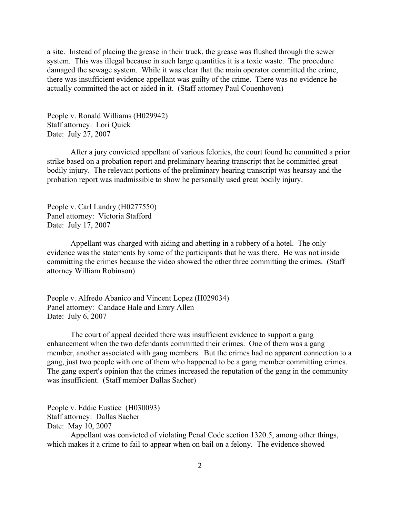a site. Instead of placing the grease in their truck, the grease was flushed through the sewer system. This was illegal because in such large quantities it is a toxic waste. The procedure damaged the sewage system. While it was clear that the main operator committed the crime, there was insufficient evidence appellant was guilty of the crime. There was no evidence he actually committed the act or aided in it. (Staff attorney Paul Couenhoven)

People v. Ronald Williams (H029942) Staff attorney: Lori Quick Date: July 27, 2007

After a jury convicted appellant of various felonies, the court found he committed a prior strike based on a probation report and preliminary hearing transcript that he committed great bodily injury. The relevant portions of the preliminary hearing transcript was hearsay and the probation report was inadmissible to show he personally used great bodily injury.

People v. Carl Landry (H0277550) Panel attorney: Victoria Stafford Date: July 17, 2007

Appellant was charged with aiding and abetting in a robbery of a hotel. The only evidence was the statements by some of the participants that he was there. He was not inside committing the crimes because the video showed the other three committing the crimes. (Staff attorney William Robinson)

People v. Alfredo Abanico and Vincent Lopez (H029034) Panel attorney: Candace Hale and Emry Allen Date: July 6, 2007

The court of appeal decided there was insufficient evidence to support a gang enhancement when the two defendants committed their crimes. One of them was a gang member, another associated with gang members. But the crimes had no apparent connection to a gang, just two people with one of them who happened to be a gang member committing crimes. The gang expert's opinion that the crimes increased the reputation of the gang in the community was insufficient. (Staff member Dallas Sacher)

People v. Eddie Eustice (H030093) Staff attorney: Dallas Sacher Date: May 10, 2007

Appellant was convicted of violating Penal Code section 1320.5, among other things, which makes it a crime to fail to appear when on bail on a felony. The evidence showed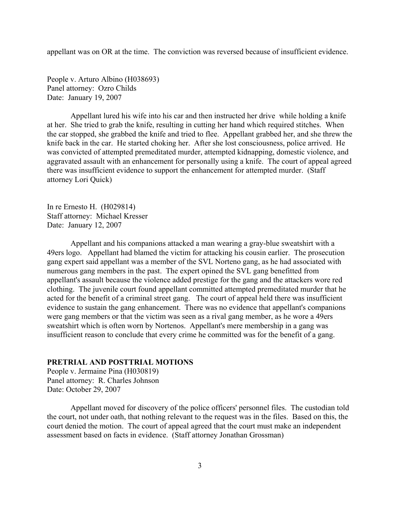<span id="page-2-0"></span>appellant was on OR at the time. The conviction was reversed because of insufficient evidence.

People v. Arturo Albino (H038693) Panel attorney: Ozro Childs Date: January 19, 2007

Appellant lured his wife into his car and then instructed her drive while holding a knife at her. She tried to grab the knife, resulting in cutting her hand which required stitches. When the car stopped, she grabbed the knife and tried to flee. Appellant grabbed her, and she threw the knife back in the car. He started choking her. After she lost consciousness, police arrived. He was convicted of attempted premeditated murder, attempted kidnapping, domestic violence, and aggravated assault with an enhancement for personally using a knife. The court of appeal agreed there was insufficient evidence to support the enhancement for attempted murder. (Staff attorney Lori Quick)

In re Ernesto H. (H029814) Staff attorney: Michael Kresser Date: January 12, 2007

Appellant and his companions attacked a man wearing a gray-blue sweatshirt with a 49ers logo. Appellant had blamed the victim for attacking his cousin earlier. The prosecution gang expert said appellant was a member of the SVL Norteno gang, as he had associated with numerous gang members in the past. The expert opined the SVL gang benefitted from appellant's assault because the violence added prestige for the gang and the attackers wore red clothing. The juvenile court found appellant committed attempted premeditated murder that he acted for the benefit of a criminal street gang. The court of appeal held there was insufficient evidence to sustain the gang enhancement. There was no evidence that appellant's companions were gang members or that the victim was seen as a rival gang member, as he wore a 49ers sweatshirt which is often worn by Nortenos. Appellant's mere membership in a gang was insufficient reason to conclude that every crime he committed was for the benefit of a gang.

## **PRETRIAL AND POSTTRIAL MOTIONS**

People v. Jermaine Pina (H030819) Panel attorney: R. Charles Johnson Date: October 29, 2007

Appellant moved for discovery of the police officers' personnel files. The custodian told the court, not under oath, that nothing relevant to the request was in the files. Based on this, the court denied the motion. The court of appeal agreed that the court must make an independent assessment based on facts in evidence. (Staff attorney Jonathan Grossman)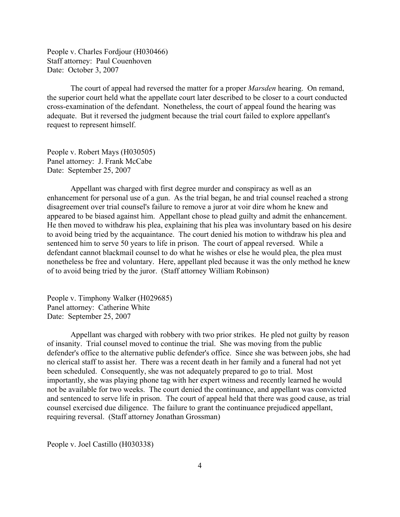People v. Charles Fordjour (H030466) Staff attorney: Paul Couenhoven Date: October 3, 2007

The court of appeal had reversed the matter for a proper *Marsden* hearing. On remand, the superior court held what the appellate court later described to be closer to a court conducted cross-examination of the defendant. Nonetheless, the court of appeal found the hearing was adequate. But it reversed the judgment because the trial court failed to explore appellant's request to represent himself.

People v. Robert Mays (H030505) Panel attorney: J. Frank McCabe Date: September 25, 2007

Appellant was charged with first degree murder and conspiracy as well as an enhancement for personal use of a gun. As the trial began, he and trial counsel reached a strong disagreement over trial counsel's failure to remove a juror at voir dire whom he knew and appeared to be biased against him. Appellant chose to plead guilty and admit the enhancement. He then moved to withdraw his plea, explaining that his plea was involuntary based on his desire to avoid being tried by the acquaintance. The court denied his motion to withdraw his plea and sentenced him to serve 50 years to life in prison. The court of appeal reversed. While a defendant cannot blackmail counsel to do what he wishes or else he would plea, the plea must nonetheless be free and voluntary. Here, appellant pled because it was the only method he knew of to avoid being tried by the juror. (Staff attorney William Robinson)

People v. Timphony Walker (H029685) Panel attorney: Catherine White Date: September 25, 2007

Appellant was charged with robbery with two prior strikes. He pled not guilty by reason of insanity. Trial counsel moved to continue the trial. She was moving from the public defender's office to the alternative public defender's office. Since she was between jobs, she had no clerical staff to assist her. There was a recent death in her family and a funeral had not yet been scheduled. Consequently, she was not adequately prepared to go to trial. Most importantly, she was playing phone tag with her expert witness and recently learned he would not be available for two weeks. The court denied the continuance, and appellant was convicted and sentenced to serve life in prison. The court of appeal held that there was good cause, as trial counsel exercised due diligence. The failure to grant the continuance prejudiced appellant, requiring reversal. (Staff attorney Jonathan Grossman)

People v. Joel Castillo (H030338)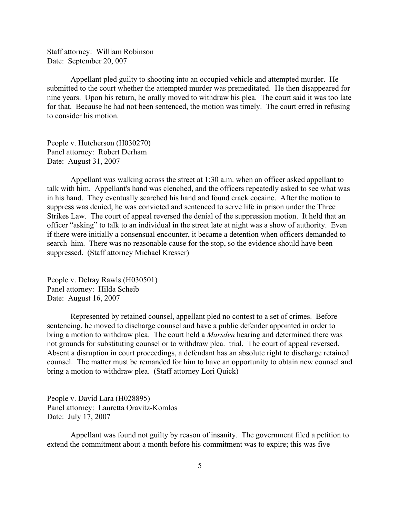Staff attorney: William Robinson Date: September 20, 007

Appellant pled guilty to shooting into an occupied vehicle and attempted murder. He submitted to the court whether the attempted murder was premeditated. He then disappeared for nine years. Upon his return, he orally moved to withdraw his plea. The court said it was too late for that. Because he had not been sentenced, the motion was timely. The court erred in refusing to consider his motion.

People v. Hutcherson (H030270) Panel attorney: Robert Derham Date: August 31, 2007

Appellant was walking across the street at 1:30 a.m. when an officer asked appellant to talk with him. Appellant's hand was clenched, and the officers repeatedly asked to see what was in his hand. They eventually searched his hand and found crack cocaine. After the motion to suppress was denied, he was convicted and sentenced to serve life in prison under the Three Strikes Law. The court of appeal reversed the denial of the suppression motion. It held that an officer "asking" to talk to an individual in the street late at night was a show of authority. Even if there were initially a consensual encounter, it became a detention when officers demanded to search him. There was no reasonable cause for the stop, so the evidence should have been suppressed. (Staff attorney Michael Kresser)

People v. Delray Rawls (H030501) Panel attorney: Hilda Scheib Date: August 16, 2007

Represented by retained counsel, appellant pled no contest to a set of crimes. Before sentencing, he moved to discharge counsel and have a public defender appointed in order to bring a motion to withdraw plea. The court held a *Marsden* hearing and determined there was not grounds for substituting counsel or to withdraw plea. trial. The court of appeal reversed. Absent a disruption in court proceedings, a defendant has an absolute right to discharge retained counsel. The matter must be remanded for him to have an opportunity to obtain new counsel and bring a motion to withdraw plea. (Staff attorney Lori Quick)

People v. David Lara (H028895) Panel attorney: Lauretta Oravitz-Komlos Date: July 17, 2007

Appellant was found not guilty by reason of insanity. The government filed a petition to extend the commitment about a month before his commitment was to expire; this was five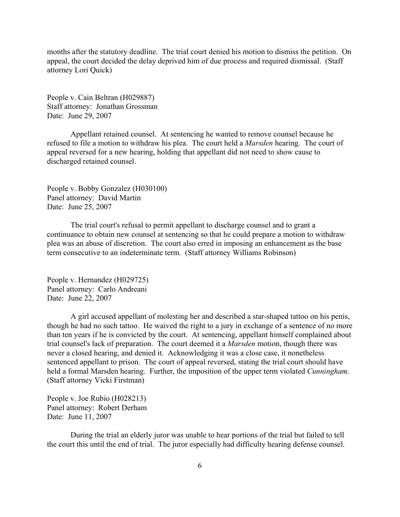months after the statutory deadline. The trial court denied his motion to dismiss the petition. On appeal, the court decided the delay deprived him of due process and required dismissal. (Staff attorney Lori Quick)

People v. Cain Beltran (H029887) Staff attorney: Jonathan Grossman Date: June 29, 2007

Appellant retained counsel. At sentencing he wanted to remove counsel because he refused to file a motion to withdraw his plea. The court held a *Marsden* hearing. The court of appeal reversed for a new hearing, holding that appellant did not need to show cause to discharged retained counsel.

People v. Bobby Gonzalez (H030100) Panel attorney: David Martin Date: June 25, 2007

The trial court's refusal to permit appellant to discharge counsel and to grant a continuance to obtain new counsel at sentencing so that he could prepare a motion to withdraw plea was an abuse of discretion. The court also erred in imposing an enhancement as the base term consecutive to an indeterminate term. (Staff attorney Williams Robinson)

People v. Hernandez (H029725) Panel attorney: Carlo Andreani Date: June 22, 2007

A girl accused appellant of molesting her and described a star-shaped tattoo on his penis, though he had no such tattoo. He waived the right to a jury in exchange of a sentence of no more than ten years if he is convicted by the court. At sentencing, appellant himself complained about trial counsel's lack of preparation. The court deemed it a *Marsden* motion, though there was never a closed hearing, and denied it. Acknowledging it was a close case, it nonetheless sentenced appellant to prison. The court of appeal reversed, stating the trial court should have held a formal Marsden hearing. Further, the imposition of the upper term violated *Cunningham*. (Staff attorney Vicki Firstman)

People v. Joe Rubio (H028213) Panel attorney: Robert Derham Date: June 11, 2007

During the trial an elderly juror was unable to hear portions of the trial but failed to tell the court this until the end of trial. The juror especially had difficulty hearing defense counsel.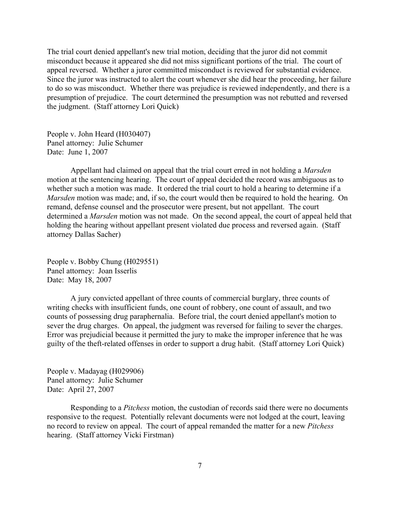The trial court denied appellant's new trial motion, deciding that the juror did not commit misconduct because it appeared she did not miss significant portions of the trial. The court of appeal reversed. Whether a juror committed misconduct is reviewed for substantial evidence. Since the juror was instructed to alert the court whenever she did hear the proceeding, her failure to do so was misconduct. Whether there was prejudice is reviewed independently, and there is a presumption of prejudice. The court determined the presumption was not rebutted and reversed the judgment. (Staff attorney Lori Quick)

People v. John Heard (H030407) Panel attorney: Julie Schumer Date: June 1, 2007

Appellant had claimed on appeal that the trial court erred in not holding a *Marsden* motion at the sentencing hearing. The court of appeal decided the record was ambiguous as to whether such a motion was made. It ordered the trial court to hold a hearing to determine if a *Marsden* motion was made; and, if so, the court would then be required to hold the hearing. On remand, defense counsel and the prosecutor were present, but not appellant. The court determined a *Marsden* motion was not made. On the second appeal, the court of appeal held that holding the hearing without appellant present violated due process and reversed again. (Staff attorney Dallas Sacher)

People v. Bobby Chung (H029551) Panel attorney: Joan Isserlis Date: May 18, 2007

A jury convicted appellant of three counts of commercial burglary, three counts of writing checks with insufficient funds, one count of robbery, one count of assault, and two counts of possessing drug paraphernalia. Before trial, the court denied appellant's motion to sever the drug charges. On appeal, the judgment was reversed for failing to sever the charges. Error was prejudicial because it permitted the jury to make the improper inference that he was guilty of the theft-related offenses in order to support a drug habit. (Staff attorney Lori Quick)

People v. Madayag (H029906) Panel attorney: Julie Schumer Date: April 27, 2007

Responding to a *Pitchess* motion, the custodian of records said there were no documents responsive to the request. Potentially relevant documents were not lodged at the court, leaving no record to review on appeal. The court of appeal remanded the matter for a new *Pitchess* hearing. (Staff attorney Vicki Firstman)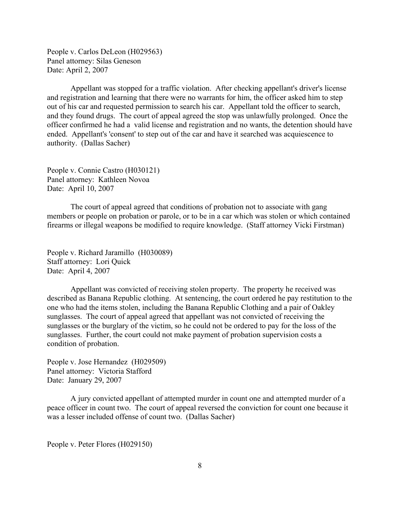People v. Carlos DeLeon (H029563) Panel attorney: Silas Geneson Date: April 2, 2007

Appellant was stopped for a traffic violation. After checking appellant's driver's license and registration and learning that there were no warrants for him, the officer asked him to step out of his car and requested permission to search his car. Appellant told the officer to search, and they found drugs. The court of appeal agreed the stop was unlawfully prolonged. Once the officer confirmed he had a valid license and registration and no wants, the detention should have ended. Appellant's 'consent' to step out of the car and have it searched was acquiescence to authority. (Dallas Sacher)

People v. Connie Castro (H030121) Panel attorney: Kathleen Novoa Date: April 10, 2007

The court of appeal agreed that conditions of probation not to associate with gang members or people on probation or parole, or to be in a car which was stolen or which contained firearms or illegal weapons be modified to require knowledge. (Staff attorney Vicki Firstman)

People v. Richard Jaramillo (H030089) Staff attorney: Lori Quick Date: April 4, 2007

Appellant was convicted of receiving stolen property. The property he received was described as Banana Republic clothing. At sentencing, the court ordered he pay restitution to the one who had the items stolen, including the Banana Republic Clothing and a pair of Oakley sunglasses. The court of appeal agreed that appellant was not convicted of receiving the sunglasses or the burglary of the victim, so he could not be ordered to pay for the loss of the sunglasses. Further, the court could not make payment of probation supervision costs a condition of probation.

People v. Jose Hernandez (H029509) Panel attorney: Victoria Stafford Date: January 29, 2007

A jury convicted appellant of attempted murder in count one and attempted murder of a peace officer in count two. The court of appeal reversed the conviction for count one because it was a lesser included offense of count two. (Dallas Sacher)

People v. Peter Flores (H029150)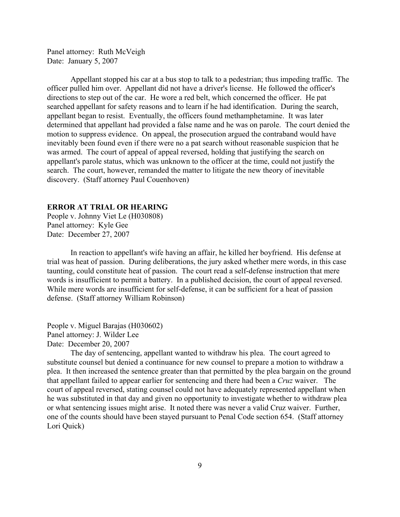<span id="page-8-0"></span>Panel attorney: Ruth McVeigh Date: January 5, 2007

Appellant stopped his car at a bus stop to talk to a pedestrian; thus impeding traffic. The officer pulled him over. Appellant did not have a driver's license. He followed the officer's directions to step out of the car. He wore a red belt, which concerned the officer. He pat searched appellant for safety reasons and to learn if he had identification. During the search, appellant began to resist. Eventually, the officers found methamphetamine. It was later determined that appellant had provided a false name and he was on parole. The court denied the motion to suppress evidence. On appeal, the prosecution argued the contraband would have inevitably been found even if there were no a pat search without reasonable suspicion that he was armed. The court of appeal of appeal reversed, holding that justifying the search on appellant's parole status, which was unknown to the officer at the time, could not justify the search. The court, however, remanded the matter to litigate the new theory of inevitable discovery. (Staff attorney Paul Couenhoven)

### **ERROR AT TRIAL OR HEARING**

People v. Johnny Viet Le (H030808) Panel attorney: Kyle Gee Date: December 27, 2007

In reaction to appellant's wife having an affair, he killed her boyfriend. His defense at trial was heat of passion. During deliberations, the jury asked whether mere words, in this case taunting, could constitute heat of passion. The court read a self-defense instruction that mere words is insufficient to permit a battery. In a published decision, the court of appeal reversed. While mere words are insufficient for self-defense, it can be sufficient for a heat of passion defense. (Staff attorney William Robinson)

People v. Miguel Barajas (H030602) Panel attorney: J. Wilder Lee Date: December 20, 2007

The day of sentencing, appellant wanted to withdraw his plea. The court agreed to substitute counsel but denied a continuance for new counsel to prepare a motion to withdraw a plea. It then increased the sentence greater than that permitted by the plea bargain on the ground that appellant failed to appear earlier for sentencing and there had been a *Cruz* waiver. The court of appeal reversed, stating counsel could not have adequately represented appellant when he was substituted in that day and given no opportunity to investigate whether to withdraw plea or what sentencing issues might arise. It noted there was never a valid Cruz waiver. Further, one of the counts should have been stayed pursuant to Penal Code section 654. (Staff attorney Lori Quick)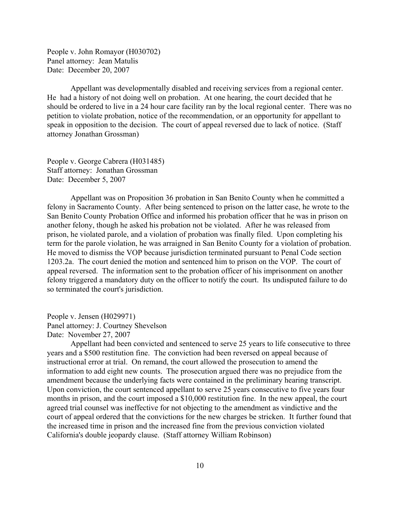People v. John Romayor (H030702) Panel attorney: Jean Matulis Date: December 20, 2007

Appellant was developmentally disabled and receiving services from a regional center. He had a history of not doing well on probation. At one hearing, the court decided that he should be ordered to live in a 24 hour care facility ran by the local regional center. There was no petition to violate probation, notice of the recommendation, or an opportunity for appellant to speak in opposition to the decision. The court of appeal reversed due to lack of notice. (Staff attorney Jonathan Grossman)

People v. George Cabrera (H031485) Staff attorney: Jonathan Grossman Date: December 5, 2007

Appellant was on Proposition 36 probation in San Benito County when he committed a felony in Sacramento County. After being sentenced to prison on the latter case, he wrote to the San Benito County Probation Office and informed his probation officer that he was in prison on another felony, though he asked his probation not be violated. After he was released from prison, he violated parole, and a violation of probation was finally filed. Upon completing his term for the parole violation, he was arraigned in San Benito County for a violation of probation. He moved to dismiss the VOP because jurisdiction terminated pursuant to Penal Code section 1203.2a. The court denied the motion and sentenced him to prison on the VOP. The court of appeal reversed. The information sent to the probation officer of his imprisonment on another felony triggered a mandatory duty on the officer to notify the court. Its undisputed failure to do so terminated the court's jurisdiction.

People v. Jensen (H029971) Panel attorney: J. Courtney Shevelson Date: November 27, 2007

Appellant had been convicted and sentenced to serve 25 years to life consecutive to three years and a \$500 restitution fine. The conviction had been reversed on appeal because of instructional error at trial. On remand, the court allowed the prosecution to amend the information to add eight new counts. The prosecution argued there was no prejudice from the amendment because the underlying facts were contained in the preliminary hearing transcript. Upon conviction, the court sentenced appellant to serve 25 years consecutive to five years four months in prison, and the court imposed a \$10,000 restitution fine. In the new appeal, the court agreed trial counsel was ineffective for not objecting to the amendment as vindictive and the court of appeal ordered that the convictions for the new charges be stricken. It further found that the increased time in prison and the increased fine from the previous conviction violated California's double jeopardy clause. (Staff attorney William Robinson)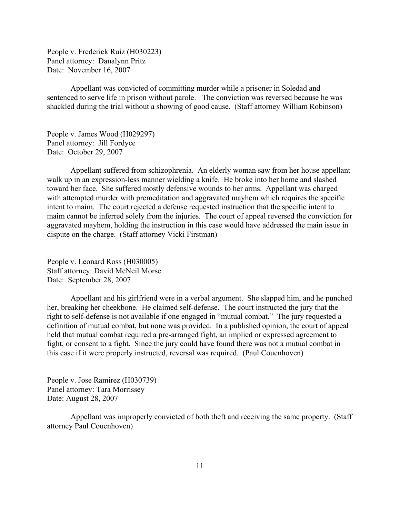People v. Frederick Ruiz (H030223) Panel attorney: Danalynn Pritz Date: November 16, 2007

Appellant was convicted of committing murder while a prisoner in Soledad and sentenced to serve life in prison without parole. The conviction was reversed because he was shackled during the trial without a showing of good cause. (Staff attorney William Robinson)

People v. James Wood (H029297) Panel attorney: Jill Fordyce Date: October 29, 2007

Appellant suffered from schizophrenia. An elderly woman saw from her house appellant walk up in an expression-less manner wielding a knife. He broke into her home and slashed toward her face. She suffered mostly defensive wounds to her arms. Appellant was charged with attempted murder with premeditation and aggravated mayhem which requires the specific intent to maim. The court rejected a defense requested instruction that the specific intent to maim cannot be inferred solely from the injuries. The court of appeal reversed the conviction for aggravated mayhem, holding the instruction in this case would have addressed the main issue in dispute on the charge. (Staff attorney Vicki Firstman)

People v. Leonard Ross (H030005) Staff attorney: David McNeil Morse Date: September 28, 2007

Appellant and his girlfriend were in a verbal argument. She slapped him, and he punched her, breaking her cheekbone. He claimed self-defense. The court instructed the jury that the right to self-defense is not available if one engaged in "mutual combat." The jury requested a definition of mutual combat, but none was provided. In a published opinion, the court of appeal held that mutual combat required a pre-arranged fight, an implied or expressed agreement to fight, or consent to a fight. Since the jury could have found there was not a mutual combat in this case if it were properly instructed, reversal was required. (Paul Couenhoven)

People v. Jose Ramirez (H030739) Panel attorney: Tara Morrissey Date: August 28, 2007

Appellant was improperly convicted of both theft and receiving the same property. (Staff attorney Paul Couenhoven)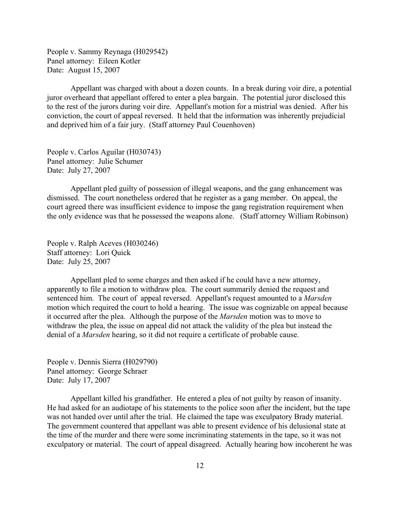People v. Sammy Reynaga (H029542) Panel attorney: Eileen Kotler Date: August 15, 2007

Appellant was charged with about a dozen counts. In a break during voir dire, a potential juror overheard that appellant offered to enter a plea bargain. The potential juror disclosed this to the rest of the jurors during voir dire. Appellant's motion for a mistrial was denied. After his conviction, the court of appeal reversed. It held that the information was inherently prejudicial and deprived him of a fair jury. (Staff attorney Paul Couenhoven)

People v. Carlos Aguilar (H030743) Panel attorney: Julie Schumer Date: July 27, 2007

Appellant pled guilty of possession of illegal weapons, and the gang enhancement was dismissed. The court nonetheless ordered that he register as a gang member. On appeal, the court agreed there was insufficient evidence to impose the gang registration requirement when the only evidence was that he possessed the weapons alone. (Staff attorney William Robinson)

People v. Ralph Aceves (H030246) Staff attorney: Lori Quick Date: July 25, 2007

Appellant pled to some charges and then asked if he could have a new attorney, apparently to file a motion to withdraw plea. The court summarily denied the request and sentenced him. The court of appeal reversed. Appellant's request amounted to a *Marsden* motion which required the court to hold a hearing. The issue was cognizable on appeal because it occurred after the plea. Although the purpose of the *Marsden* motion was to move to withdraw the plea, the issue on appeal did not attack the validity of the plea but instead the denial of a *Marsden* hearing, so it did not require a certificate of probable cause.

People v. Dennis Sierra (H029790) Panel attorney: George Schraer Date: July 17, 2007

Appellant killed his grandfather. He entered a plea of not guilty by reason of insanity. He had asked for an audiotape of his statements to the police soon after the incident, but the tape was not handed over until after the trial. He claimed the tape was exculpatory Brady material. The government countered that appellant was able to present evidence of his delusional state at the time of the murder and there were some incriminating statements in the tape, so it was not exculpatory or material. The court of appeal disagreed. Actually hearing how incoherent he was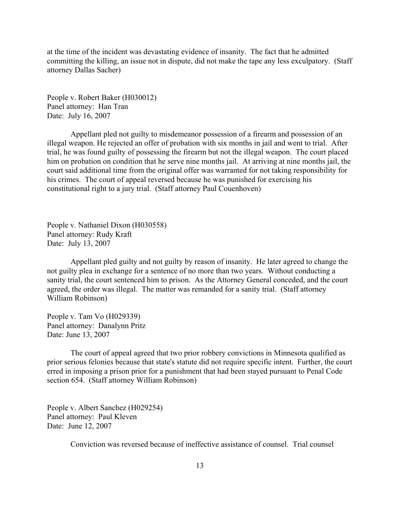at the time of the incident was devastating evidence of insanity. The fact that he admitted committing the killing, an issue not in dispute, did not make the tape any less exculpatory. (Staff attorney Dallas Sacher)

People v. Robert Baker (H030012) Panel attorney: Han Tran Date: July 16, 2007

Appellant pled not guilty to misdemeanor possession of a firearm and possession of an illegal weapon. He rejected an offer of probation with six months in jail and went to trial. After trial, he was found guilty of possessing the firearm but not the illegal weapon. The court placed him on probation on condition that he serve nine months jail. At arriving at nine months jail, the court said additional time from the original offer was warranted for not taking responsibility for his crimes. The court of appeal reversed because he was punished for exercising his constitutional right to a jury trial. (Staff attorney Paul Couenhoven)

People v. Nathaniel Dixon (H030558) Panel attorney: Rudy Kraft Date: July 13, 2007

Appellant pled guilty and not guilty by reason of insanity. He later agreed to change the not guilty plea in exchange for a sentence of no more than two years. Without conducting a sanity trial, the court sentenced him to prison. As the Attorney General conceded, and the court agreed, the order was illegal. The matter was remanded for a sanity trial. (Staff attorney William Robinson)

People v. Tam Vo (H029339) Panel attorney: Danalynn Pritz Date: June 13, 2007

The court of appeal agreed that two prior robbery convictions in Minnesota qualified as prior serious felonies because that state's statute did not require specific intent. Further, the court erred in imposing a prison prior for a punishment that had been stayed pursuant to Penal Code section 654. (Staff attorney William Robinson)

People v. Albert Sanchez (H029254) Panel attorney: Paul Kleven Date: June 12, 2007

Conviction was reversed because of ineffective assistance of counsel. Trial counsel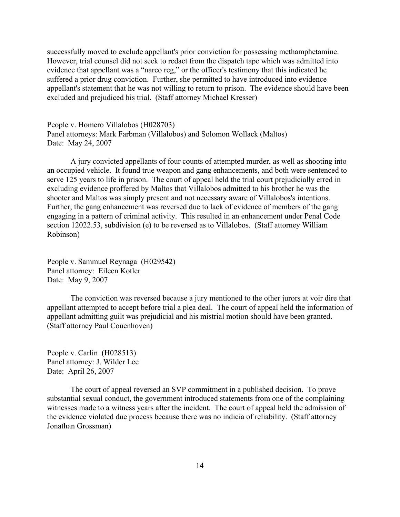successfully moved to exclude appellant's prior conviction for possessing methamphetamine. However, trial counsel did not seek to redact from the dispatch tape which was admitted into evidence that appellant was a "narco reg," or the officer's testimony that this indicated he suffered a prior drug conviction. Further, she permitted to have introduced into evidence appellant's statement that he was not willing to return to prison. The evidence should have been excluded and prejudiced his trial. (Staff attorney Michael Kresser)

People v. Homero Villalobos (H028703) Panel attorneys: Mark Farbman (Villalobos) and Solomon Wollack (Maltos) Date: May 24, 2007

A jury convicted appellants of four counts of attempted murder, as well as shooting into an occupied vehicle. It found true weapon and gang enhancements, and both were sentenced to serve 125 years to life in prison. The court of appeal held the trial court prejudicially erred in excluding evidence proffered by Maltos that Villalobos admitted to his brother he was the shooter and Maltos was simply present and not necessary aware of Villalobos's intentions. Further, the gang enhancement was reversed due to lack of evidence of members of the gang engaging in a pattern of criminal activity. This resulted in an enhancement under Penal Code section 12022.53, subdivision (e) to be reversed as to Villalobos. (Staff attorney William Robinson)

People v. Sammuel Reynaga (H029542) Panel attorney: Eileen Kotler Date: May 9, 2007

The conviction was reversed because a jury mentioned to the other jurors at voir dire that appellant attempted to accept before trial a plea deal. The court of appeal held the information of appellant admitting guilt was prejudicial and his mistrial motion should have been granted. (Staff attorney Paul Couenhoven)

People v. Carlin (H028513) Panel attorney: J. Wilder Lee Date: April 26, 2007

The court of appeal reversed an SVP commitment in a published decision. To prove substantial sexual conduct, the government introduced statements from one of the complaining witnesses made to a witness years after the incident. The court of appeal held the admission of the evidence violated due process because there was no indicia of reliability. (Staff attorney Jonathan Grossman)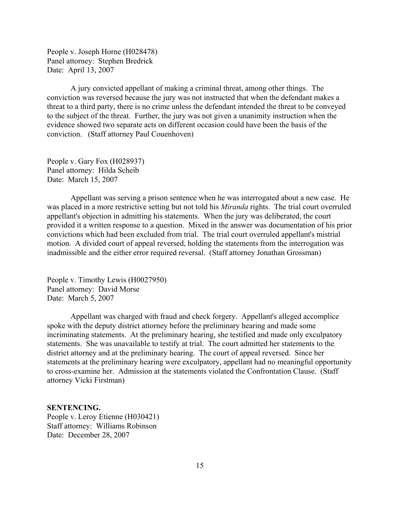<span id="page-14-0"></span>People v. Joseph Horne (H028478) Panel attorney: Stephen Bredrick Date: April 13, 2007

A jury convicted appellant of making a criminal threat, among other things. The conviction was reversed because the jury was not instructed that when the defendant makes a threat to a third party, there is no crime unless the defendant intended the threat to be conveyed to the subject of the threat. Further, the jury was not given a unanimity instruction when the evidence showed two separate acts on different occasion could have been the basis of the conviction. (Staff attorney Paul Couenhoven)

People v. Gary Fox (H028937) Panel attorney: Hilda Scheib Date: March 15, 2007

Appellant was serving a prison sentence when he was interrogated about a new case. He was placed in a more restrictive setting but not told his *Miranda* rights. The trial court overruled appellant's objection in admitting his statements. When the jury was deliberated, the court provided it a written response to a question. Mixed in the answer was documentation of his prior convictions which had been excluded from trial. The trial court overruled appellant's mistrial motion. A divided court of appeal reversed, holding the statements from the interrogation was inadmissible and the either error required reversal. (Staff attorney Jonathan Grossman)

People v. Timothy Lewis (H0027950) Panel attorney: David Morse Date: March 5, 2007

Appellant was charged with fraud and check forgery. Appellant's alleged accomplice spoke with the deputy district attorney before the preliminary hearing and made some incriminating statements. At the preliminary hearing, she testified and made only exculpatory statements. She was unavailable to testify at trial. The court admitted her statements to the district attorney and at the preliminary hearing. The court of appeal reversed. Since her statements at the preliminary hearing were exculpatory, appellant had no meaningful opportunity to cross-examine her. Admission at the statements violated the Confrontation Clause. (Staff attorney Vicki Firstman)

#### **SENTENCING.**

People v. Leroy Etienne (H030421) Staff attorney: Williams Robinson Date: December 28, 2007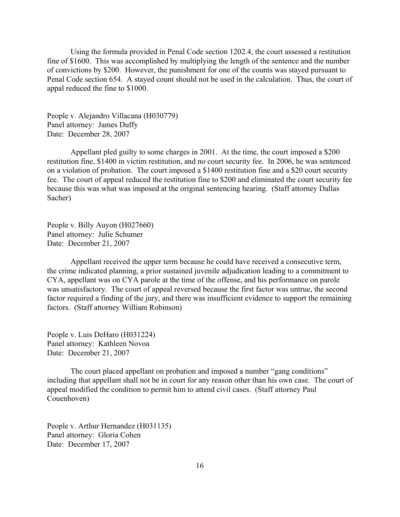Using the formula provided in Penal Code section 1202.4, the court assessed a restitution fine of \$1600. This was accomplished by multiplying the length of the sentence and the number of convictions by \$200. However, the punishment for one of the counts was stayed pursuant to Penal Code section 654. A stayed count should not be used in the calculation. Thus, the court of appal reduced the fine to \$1000.

People v. Alejandro Villacana (H030779) Panel attorney: James Duffy Date: December 28, 2007

Appellant pled guilty to some charges in 2001. At the time, the court imposed a \$200 restitution fine, \$1400 in victim restitution, and no court security fee. In 2006, he was sentenced on a violation of probation. The court imposed a \$1400 restitution fine and a \$20 court security fee. The court of appeal reduced the restitution fine to \$200 and eliminated the court security fee because this was what was imposed at the original sentencing hearing. (Staff attorney Dallas Sacher)

People v. Billy Auyon (H027660) Panel attorney: Julie Schumer Date: December 21, 2007

Appellant received the upper term because he could have received a consecutive term, the crime indicated planning, a prior sustained juvenile adjudication leading to a commitment to CYA, appellant was on CYA parole at the time of the offense, and his performance on parole was unsatisfactory. The court of appeal reversed because the first factor was untrue, the second factor required a finding of the jury, and there was insufficient evidence to support the remaining factors. (Staff attorney William Robinson)

People v. Luis DeHaro (H031224) Panel attorney: Kathleen Novoa Date: December 21, 2007

The court placed appellant on probation and imposed a number "gang conditions" including that appellant shall not be in court for any reason other than his own case. The court of appeal modified the condition to permit him to attend civil cases. (Staff attorney Paul Couenhoven)

People v. Arthur Hernandez (H031135) Panel attorney: Gloria Cohen Date: December 17, 2007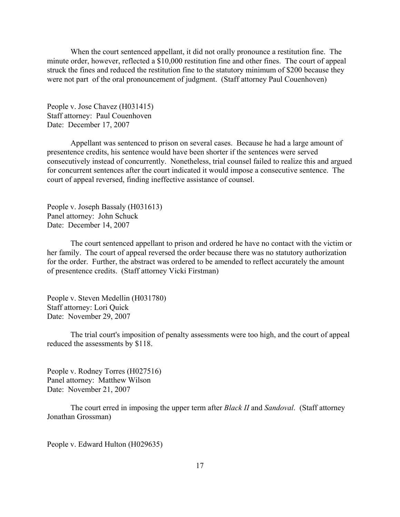When the court sentenced appellant, it did not orally pronounce a restitution fine. The minute order, however, reflected a \$10,000 restitution fine and other fines. The court of appeal struck the fines and reduced the restitution fine to the statutory minimum of \$200 because they were not part of the oral pronouncement of judgment. (Staff attorney Paul Couenhoven)

People v. Jose Chavez (H031415) Staff attorney: Paul Couenhoven Date: December 17, 2007

Appellant was sentenced to prison on several cases. Because he had a large amount of presentence credits, his sentence would have been shorter if the sentences were served consecutively instead of concurrently. Nonetheless, trial counsel failed to realize this and argued for concurrent sentences after the court indicated it would impose a consecutive sentence. The court of appeal reversed, finding ineffective assistance of counsel.

People v. Joseph Bassaly (H031613) Panel attorney: John Schuck Date: December 14, 2007

The court sentenced appellant to prison and ordered he have no contact with the victim or her family. The court of appeal reversed the order because there was no statutory authorization for the order. Further, the abstract was ordered to be amended to reflect accurately the amount of presentence credits. (Staff attorney Vicki Firstman)

People v. Steven Medellin (H031780) Staff attorney: Lori Quick Date: November 29, 2007

The trial court's imposition of penalty assessments were too high, and the court of appeal reduced the assessments by \$118.

People v. Rodney Torres (H027516) Panel attorney: Matthew Wilson Date: November 21, 2007

The court erred in imposing the upper term after *Black II* and *Sandoval*. (Staff attorney Jonathan Grossman)

People v. Edward Hulton (H029635)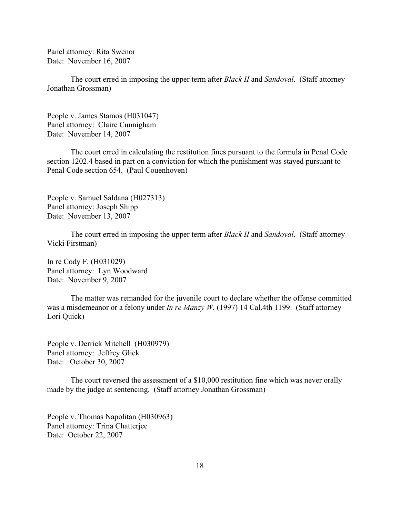Panel attorney: Rita Swenor Date: November 16, 2007

The court erred in imposing the upper term after *Black II* and *Sandoval*. (Staff attorney Jonathan Grossman)

People v. James Stamos (H031047) Panel attorney: Claire Cunnigham Date: November 14, 2007

The court erred in calculating the restitution fines pursuant to the formula in Penal Code section 1202.4 based in part on a conviction for which the punishment was stayed pursuant to Penal Code section 654. (Paul Couenhoven)

People v. Samuel Saldana (H027313) Panel attorney: Joseph Shipp Date: November 13, 2007

The court erred in imposing the upper term after *Black II* and *Sandoval*. (Staff attorney Vicki Firstman)

In re Cody F. (H031029) Panel attorney: Lyn Woodward Date: November 9, 2007

The matter was remanded for the juvenile court to declare whether the offense committed was a misdemeanor or a felony under *In re Manzy W.* (1997) 14 Cal.4th 1199. (Staff attorney Lori Quick)

People v. Derrick Mitchell (H030979) Panel attorney: Jeffrey Glick Date: October 30, 2007

The court reversed the assessment of a \$10,000 restitution fine which was never orally made by the judge at sentencing. (Staff attorney Jonathan Grossman)

People v. Thomas Napolitan (H030963) Panel attorney: Trina Chatterjee Date: October 22, 2007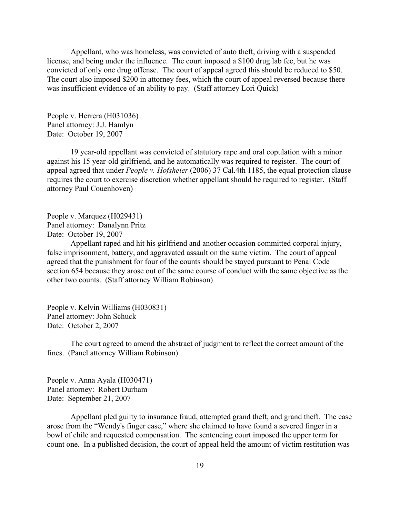Appellant, who was homeless, was convicted of auto theft, driving with a suspended license, and being under the influence. The court imposed a \$100 drug lab fee, but he was convicted of only one drug offense. The court of appeal agreed this should be reduced to \$50. The court also imposed \$200 in attorney fees, which the court of appeal reversed because there was insufficient evidence of an ability to pay. (Staff attorney Lori Quick)

People v. Herrera (H031036) Panel attorney: J.J. Hamlyn Date: October 19, 2007

19 year-old appellant was convicted of statutory rape and oral copulation with a minor against his 15 year-old girlfriend, and he automatically was required to register. The court of appeal agreed that under *People v. Hofsheier* (2006) 37 Cal.4th 1185, the equal protection clause requires the court to exercise discretion whether appellant should be required to register. (Staff attorney Paul Couenhoven)

People v. Marquez (H029431) Panel attorney: Danalynn Pritz Date: October 19, 2007

Appellant raped and hit his girlfriend and another occasion committed corporal injury, false imprisonment, battery, and aggravated assault on the same victim. The court of appeal agreed that the punishment for four of the counts should be stayed pursuant to Penal Code section 654 because they arose out of the same course of conduct with the same objective as the other two counts. (Staff attorney William Robinson)

People v. Kelvin Williams (H030831) Panel attorney: John Schuck Date: October 2, 2007

The court agreed to amend the abstract of judgment to reflect the correct amount of the fines. (Panel attorney William Robinson)

People v. Anna Ayala (H030471) Panel attorney: Robert Durham Date: September 21, 2007

Appellant pled guilty to insurance fraud, attempted grand theft, and grand theft. The case arose from the "Wendy's finger case," where she claimed to have found a severed finger in a bowl of chile and requested compensation. The sentencing court imposed the upper term for count one. In a published decision, the court of appeal held the amount of victim restitution was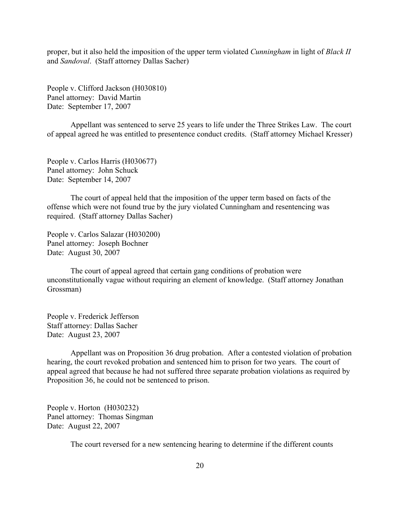proper, but it also held the imposition of the upper term violated *Cunningham* in light of *Black II* and *Sandoval*. (Staff attorney Dallas Sacher)

People v. Clifford Jackson (H030810) Panel attorney: David Martin Date: September 17, 2007

Appellant was sentenced to serve 25 years to life under the Three Strikes Law. The court of appeal agreed he was entitled to presentence conduct credits. (Staff attorney Michael Kresser)

People v. Carlos Harris (H030677) Panel attorney: John Schuck Date: September 14, 2007

The court of appeal held that the imposition of the upper term based on facts of the offense which were not found true by the jury violated Cunningham and resentencing was required. (Staff attorney Dallas Sacher)

People v. Carlos Salazar (H030200) Panel attorney: Joseph Bochner Date: August 30, 2007

The court of appeal agreed that certain gang conditions of probation were unconstitutionally vague without requiring an element of knowledge. (Staff attorney Jonathan Grossman)

People v. Frederick Jefferson Staff attorney: Dallas Sacher Date: August 23, 2007

Appellant was on Proposition 36 drug probation. After a contested violation of probation hearing, the court revoked probation and sentenced him to prison for two years. The court of appeal agreed that because he had not suffered three separate probation violations as required by Proposition 36, he could not be sentenced to prison.

People v. Horton (H030232) Panel attorney: Thomas Singman Date: August 22, 2007

The court reversed for a new sentencing hearing to determine if the different counts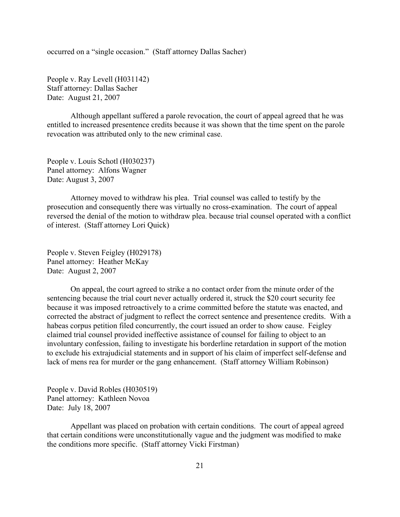occurred on a "single occasion." (Staff attorney Dallas Sacher)

People v. Ray Levell (H031142) Staff attorney: Dallas Sacher Date: August 21, 2007

Although appellant suffered a parole revocation, the court of appeal agreed that he was entitled to increased presentence credits because it was shown that the time spent on the parole revocation was attributed only to the new criminal case.

People v. Louis Schotl (H030237) Panel attorney: Alfons Wagner Date: August 3, 2007

Attorney moved to withdraw his plea. Trial counsel was called to testify by the prosecution and consequently there was virtually no cross-examination. The court of appeal reversed the denial of the motion to withdraw plea. because trial counsel operated with a conflict of interest. (Staff attorney Lori Quick)

People v. Steven Feigley (H029178) Panel attorney: Heather McKay Date: August 2, 2007

On appeal, the court agreed to strike a no contact order from the minute order of the sentencing because the trial court never actually ordered it, struck the \$20 court security fee because it was imposed retroactively to a crime committed before the statute was enacted, and corrected the abstract of judgment to reflect the correct sentence and presentence credits. With a habeas corpus petition filed concurrently, the court issued an order to show cause. Feigley claimed trial counsel provided ineffective assistance of counsel for failing to object to an involuntary confession, failing to investigate his borderline retardation in support of the motion to exclude his extrajudicial statements and in support of his claim of imperfect self-defense and lack of mens rea for murder or the gang enhancement. (Staff attorney William Robinson)

People v. David Robles (H030519) Panel attorney: Kathleen Novoa Date: July 18, 2007

Appellant was placed on probation with certain conditions. The court of appeal agreed that certain conditions were unconstitutionally vague and the judgment was modified to make the conditions more specific. (Staff attorney Vicki Firstman)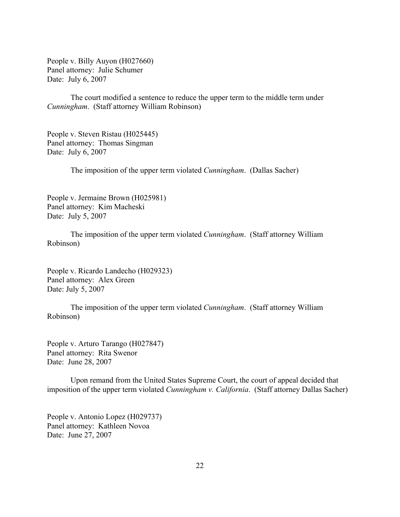People v. Billy Auyon (H027660) Panel attorney: Julie Schumer Date: July 6, 2007

The court modified a sentence to reduce the upper term to the middle term under *Cunningham*. (Staff attorney William Robinson)

People v. Steven Ristau (H025445) Panel attorney: Thomas Singman Date: July 6, 2007

The imposition of the upper term violated *Cunningham*. (Dallas Sacher)

People v. Jermaine Brown (H025981) Panel attorney: Kim Macheski Date: July 5, 2007

The imposition of the upper term violated *Cunningham*. (Staff attorney William Robinson)

People v. Ricardo Landecho (H029323) Panel attorney: Alex Green Date: July 5, 2007

The imposition of the upper term violated *Cunningham*. (Staff attorney William Robinson)

People v. Arturo Tarango (H027847) Panel attorney: Rita Swenor Date: June 28, 2007

Upon remand from the United States Supreme Court, the court of appeal decided that imposition of the upper term violated *Cunningham v. California*. (Staff attorney Dallas Sacher)

People v. Antonio Lopez (H029737) Panel attorney: Kathleen Novoa Date: June 27, 2007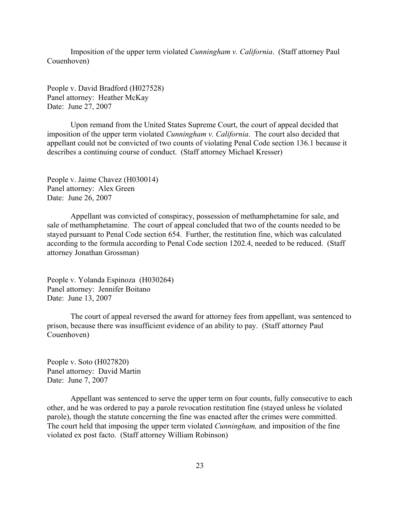Imposition of the upper term violated *Cunningham v. California*. (Staff attorney Paul Couenhoven)

People v. David Bradford (H027528) Panel attorney: Heather McKay Date: June 27, 2007

Upon remand from the United States Supreme Court, the court of appeal decided that imposition of the upper term violated *Cunningham v. California*. The court also decided that appellant could not be convicted of two counts of violating Penal Code section 136.1 because it describes a continuing course of conduct. (Staff attorney Michael Kresser)

People v. Jaime Chavez (H030014) Panel attorney: Alex Green Date: June 26, 2007

Appellant was convicted of conspiracy, possession of methamphetamine for sale, and sale of methamphetamine. The court of appeal concluded that two of the counts needed to be stayed pursuant to Penal Code section 654. Further, the restitution fine, which was calculated according to the formula according to Penal Code section 1202.4, needed to be reduced. (Staff attorney Jonathan Grossman)

People v. Yolanda Espinoza (H030264) Panel attorney: Jennifer Boitano Date: June 13, 2007

The court of appeal reversed the award for attorney fees from appellant, was sentenced to prison, because there was insufficient evidence of an ability to pay. (Staff attorney Paul Couenhoven)

People v. Soto (H027820) Panel attorney: David Martin Date: June 7, 2007

Appellant was sentenced to serve the upper term on four counts, fully consecutive to each other, and he was ordered to pay a parole revocation restitution fine (stayed unless he violated parole), though the statute concerning the fine was enacted after the crimes were committed. The court held that imposing the upper term violated *Cunningham,* and imposition of the fine violated ex post facto. (Staff attorney William Robinson)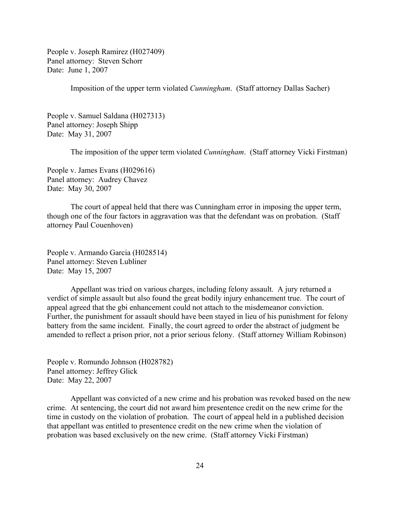People v. Joseph Ramirez (H027409) Panel attorney: Steven Schorr Date: June 1, 2007

Imposition of the upper term violated *Cunningham*. (Staff attorney Dallas Sacher)

People v. Samuel Saldana (H027313) Panel attorney: Joseph Shipp Date: May 31, 2007

The imposition of the upper term violated *Cunningham*. (Staff attorney Vicki Firstman)

People v. James Evans (H029616) Panel attorney: Audrey Chavez Date: May 30, 2007

The court of appeal held that there was Cunningham error in imposing the upper term, though one of the four factors in aggravation was that the defendant was on probation. (Staff attorney Paul Couenhoven)

People v. Armando Garcia (H028514) Panel attorney: Steven Lubliner Date: May 15, 2007

Appellant was tried on various charges, including felony assault. A jury returned a verdict of simple assault but also found the great bodily injury enhancement true. The court of appeal agreed that the gbi enhancement could not attach to the misdemeanor conviction. Further, the punishment for assault should have been stayed in lieu of his punishment for felony battery from the same incident. Finally, the court agreed to order the abstract of judgment be amended to reflect a prison prior, not a prior serious felony. (Staff attorney William Robinson)

People v. Romundo Johnson (H028782) Panel attorney: Jeffrey Glick Date: May 22, 2007

Appellant was convicted of a new crime and his probation was revoked based on the new crime. At sentencing, the court did not award him presentence credit on the new crime for the time in custody on the violation of probation. The court of appeal held in a published decision that appellant was entitled to presentence credit on the new crime when the violation of probation was based exclusively on the new crime. (Staff attorney Vicki Firstman)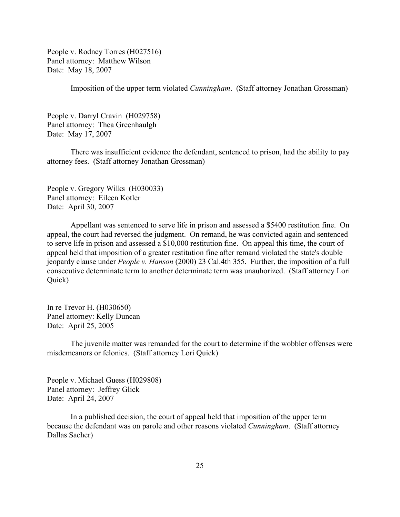People v. Rodney Torres (H027516) Panel attorney: Matthew Wilson Date: May 18, 2007

Imposition of the upper term violated *Cunningham*. (Staff attorney Jonathan Grossman)

People v. Darryl Cravin (H029758) Panel attorney: Thea Greenhaulgh Date: May 17, 2007

There was insufficient evidence the defendant, sentenced to prison, had the ability to pay attorney fees. (Staff attorney Jonathan Grossman)

People v. Gregory Wilks (H030033) Panel attorney: Eileen Kotler Date: April 30, 2007

Appellant was sentenced to serve life in prison and assessed a \$5400 restitution fine. On appeal, the court had reversed the judgment. On remand, he was convicted again and sentenced to serve life in prison and assessed a \$10,000 restitution fine. On appeal this time, the court of appeal held that imposition of a greater restitution fine after remand violated the state's double jeopardy clause under *People v. Hanson* (2000) 23 Cal.4th 355. Further, the imposition of a full consecutive determinate term to another determinate term was unauhorized. (Staff attorney Lori Quick)

In re Trevor H. (H030650) Panel attorney: Kelly Duncan Date: April 25, 2005

The juvenile matter was remanded for the court to determine if the wobbler offenses were misdemeanors or felonies. (Staff attorney Lori Quick)

People v. Michael Guess (H029808) Panel attorney: Jeffrey Glick Date: April 24, 2007

In a published decision, the court of appeal held that imposition of the upper term because the defendant was on parole and other reasons violated *Cunningham*. (Staff attorney Dallas Sacher)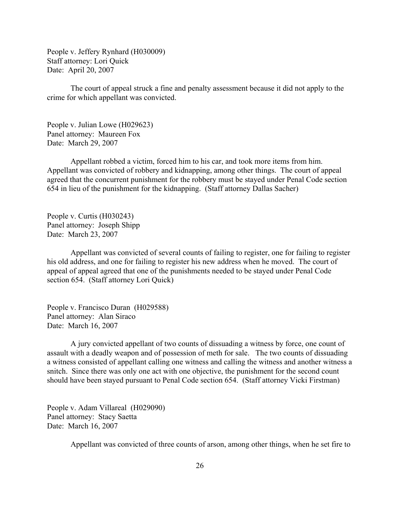People v. Jeffery Rynhard (H030009) Staff attorney: Lori Quick Date: April 20, 2007

The court of appeal struck a fine and penalty assessment because it did not apply to the crime for which appellant was convicted.

People v. Julian Lowe (H029623) Panel attorney: Maureen Fox Date: March 29, 2007

Appellant robbed a victim, forced him to his car, and took more items from him. Appellant was convicted of robbery and kidnapping, among other things. The court of appeal agreed that the concurrent punishment for the robbery must be stayed under Penal Code section 654 in lieu of the punishment for the kidnapping. (Staff attorney Dallas Sacher)

People v. Curtis (H030243) Panel attorney: Joseph Shipp Date: March 23, 2007

Appellant was convicted of several counts of failing to register, one for failing to register his old address, and one for failing to register his new address when he moved. The court of appeal of appeal agreed that one of the punishments needed to be stayed under Penal Code section 654. (Staff attorney Lori Quick)

People v. Francisco Duran (H029588) Panel attorney: Alan Siraco Date: March 16, 2007

A jury convicted appellant of two counts of dissuading a witness by force, one count of assault with a deadly weapon and of possession of meth for sale. The two counts of dissuading a witness consisted of appellant calling one witness and calling the witness and another witness a snitch. Since there was only one act with one objective, the punishment for the second count should have been stayed pursuant to Penal Code section 654. (Staff attorney Vicki Firstman)

People v. Adam Villareal (H029090) Panel attorney: Stacy Saetta Date: March 16, 2007

Appellant was convicted of three counts of arson, among other things, when he set fire to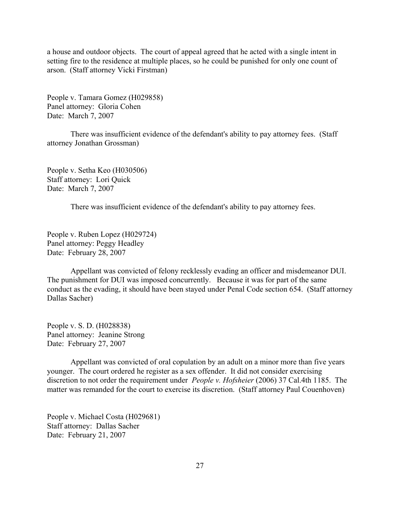a house and outdoor objects. The court of appeal agreed that he acted with a single intent in setting fire to the residence at multiple places, so he could be punished for only one count of arson. (Staff attorney Vicki Firstman)

People v. Tamara Gomez (H029858) Panel attorney: Gloria Cohen Date: March 7, 2007

There was insufficient evidence of the defendant's ability to pay attorney fees. (Staff attorney Jonathan Grossman)

People v. Setha Keo (H030506) Staff attorney: Lori Quick Date: March 7, 2007

There was insufficient evidence of the defendant's ability to pay attorney fees.

People v. Ruben Lopez (H029724) Panel attorney: Peggy Headley Date: February 28, 2007

Appellant was convicted of felony recklessly evading an officer and misdemeanor DUI. The punishment for DUI was imposed concurrently. Because it was for part of the same conduct as the evading, it should have been stayed under Penal Code section 654. (Staff attorney Dallas Sacher)

People v. S. D. (H028838) Panel attorney: Jeanine Strong Date: February 27, 2007

Appellant was convicted of oral copulation by an adult on a minor more than five years younger. The court ordered he register as a sex offender. It did not consider exercising discretion to not order the requirement under *People v. Hofsheier* (2006) 37 Cal.4th 1185. The matter was remanded for the court to exercise its discretion. (Staff attorney Paul Couenhoven)

People v. Michael Costa (H029681) Staff attorney: Dallas Sacher Date: February 21, 2007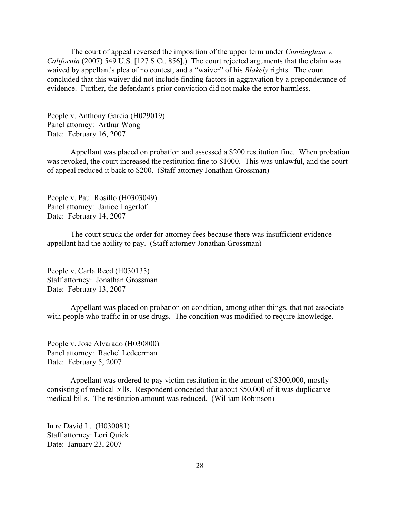The court of appeal reversed the imposition of the upper term under *Cunningham v. California* (2007) 549 U.S. [127 S.Ct. 856].) The court rejected arguments that the claim was waived by appellant's plea of no contest, and a "waiver" of his *Blakely* rights. The court concluded that this waiver did not include finding factors in aggravation by a preponderance of evidence. Further, the defendant's prior conviction did not make the error harmless.

People v. Anthony Garcia (H029019) Panel attorney: Arthur Wong Date: February 16, 2007

Appellant was placed on probation and assessed a \$200 restitution fine. When probation was revoked, the court increased the restitution fine to \$1000. This was unlawful, and the court of appeal reduced it back to \$200. (Staff attorney Jonathan Grossman)

People v. Paul Rosillo (H0303049) Panel attorney: Janice Lagerlof Date: February 14, 2007

The court struck the order for attorney fees because there was insufficient evidence appellant had the ability to pay. (Staff attorney Jonathan Grossman)

People v. Carla Reed (H030135) Staff attorney: Jonathan Grossman Date: February 13, 2007

Appellant was placed on probation on condition, among other things, that not associate with people who traffic in or use drugs. The condition was modified to require knowledge.

People v. Jose Alvarado (H030800) Panel attorney: Rachel Ledeerman Date: February 5, 2007

Appellant was ordered to pay victim restitution in the amount of \$300,000, mostly consisting of medical bills. Respondent conceded that about \$50,000 of it was duplicative medical bills. The restitution amount was reduced. (William Robinson)

In re David L. (H030081) Staff attorney: Lori Quick Date: January 23, 2007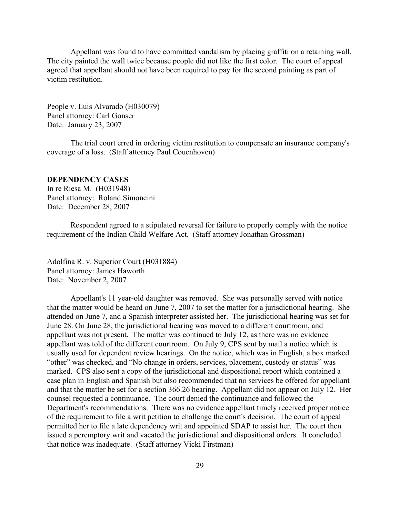<span id="page-28-0"></span>Appellant was found to have committed vandalism by placing graffiti on a retaining wall. The city painted the wall twice because people did not like the first color. The court of appeal agreed that appellant should not have been required to pay for the second painting as part of victim restitution.

People v. Luis Alvarado (H030079) Panel attorney: Carl Gonser Date: January 23, 2007

The trial court erred in ordering victim restitution to compensate an insurance company's coverage of a loss. (Staff attorney Paul Couenhoven)

## **DEPENDENCY CASES**

In re Riesa M. (H031948) Panel attorney: Roland Simoncini Date: December 28, 2007

Respondent agreed to a stipulated reversal for failure to properly comply with the notice requirement of the Indian Child Welfare Act. (Staff attorney Jonathan Grossman)

Adolfina R. v. Superior Court (H031884) Panel attorney: James Haworth Date: November 2, 2007

Appellant's 11 year-old daughter was removed. She was personally served with notice that the matter would be heard on June 7, 2007 to set the matter for a jurisdictional hearing. She attended on June 7, and a Spanish interpreter assisted her. The jurisdictional hearing was set for June 28. On June 28, the jurisdictional hearing was moved to a different courtroom, and appellant was not present. The matter was continued to July 12, as there was no evidence appellant was told of the different courtroom. On July 9, CPS sent by mail a notice which is usually used for dependent review hearings. On the notice, which was in English, a box marked "other" was checked, and "No change in orders, services, placement, custody or status" was marked. CPS also sent a copy of the jurisdictional and dispositional report which contained a case plan in English and Spanish but also recommended that no services be offered for appellant and that the matter be set for a section 366.26 hearing. Appellant did not appear on July 12. Her counsel requested a continuance. The court denied the continuance and followed the Department's recommendations. There was no evidence appellant timely received proper notice of the requirement to file a writ petition to challenge the court's decision. The court of appeal permitted her to file a late dependency writ and appointed SDAP to assist her. The court then issued a peremptory writ and vacated the jurisdictional and dispositional orders. It concluded that notice was inadequate. (Staff attorney Vicki Firstman)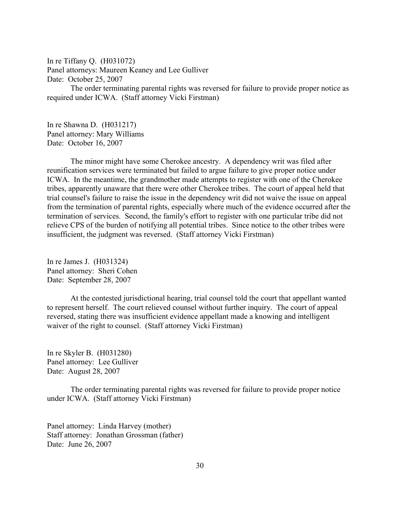In re Tiffany Q. (H031072) Panel attorneys: Maureen Keaney and Lee Gulliver Date: October 25, 2007

The order terminating parental rights was reversed for failure to provide proper notice as required under ICWA. (Staff attorney Vicki Firstman)

In re Shawna D. (H031217) Panel attorney: Mary Williams Date: October 16, 2007

The minor might have some Cherokee ancestry. A dependency writ was filed after reunification services were terminated but failed to argue failure to give proper notice under ICWA. In the meantime, the grandmother made attempts to register with one of the Cherokee tribes, apparently unaware that there were other Cherokee tribes. The court of appeal held that trial counsel's failure to raise the issue in the dependency writ did not waive the issue on appeal from the termination of parental rights, especially where much of the evidence occurred after the termination of services. Second, the family's effort to register with one particular tribe did not relieve CPS of the burden of notifying all potential tribes. Since notice to the other tribes were insufficient, the judgment was reversed. (Staff attorney Vicki Firstman)

In re James J. (H031324) Panel attorney: Sheri Cohen Date: September 28, 2007

At the contested jurisdictional hearing, trial counsel told the court that appellant wanted to represent herself. The court relieved counsel without further inquiry. The court of appeal reversed, stating there was insufficient evidence appellant made a knowing and intelligent waiver of the right to counsel. (Staff attorney Vicki Firstman)

In re Skyler B. (H031280) Panel attorney: Lee Gulliver Date: August 28, 2007

The order terminating parental rights was reversed for failure to provide proper notice under ICWA. (Staff attorney Vicki Firstman)

Panel attorney: Linda Harvey (mother) Staff attorney: Jonathan Grossman (father) Date: June 26, 2007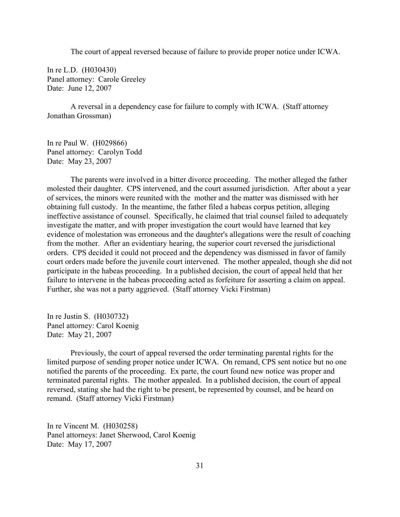The court of appeal reversed because of failure to provide proper notice under ICWA.

In re L.D. (H030430) Panel attorney: Carole Greeley Date: June 12, 2007

A reversal in a dependency case for failure to comply with ICWA. (Staff attorney Jonathan Grossman)

In re Paul W. (H029866) Panel attorney: Carolyn Todd Date: May 23, 2007

The parents were involved in a bitter divorce proceeding. The mother alleged the father molested their daughter. CPS intervened, and the court assumed jurisdiction. After about a year of services, the minors were reunited with the mother and the matter was dismissed with her obtaining full custody. In the meantime, the father filed a habeas corpus petition, alleging ineffective assistance of counsel. Specifically, he claimed that trial counsel failed to adequately investigate the matter, and with proper investigation the court would have learned that key evidence of molestation was erroneous and the daughter's allegations were the result of coaching from the mother. After an evidentiary hearing, the superior court reversed the jurisdictional orders. CPS decided it could not proceed and the dependency was dismissed in favor of family court orders made before the juvenile court intervened. The mother appealed, though she did not participate in the habeas proceeding. In a published decision, the court of appeal held that her failure to intervene in the habeas proceeding acted as forfeiture for asserting a claim on appeal. Further, she was not a party aggrieved. (Staff attorney Vicki Firstman)

In re Justin S. (H030732) Panel attorney: Carol Koenig Date: May 21, 2007

Previously, the court of appeal reversed the order terminating parental rights for the limited purpose of sending proper notice under ICWA. On remand, CPS sent notice but no one notified the parents of the proceeding. Ex parte, the court found new notice was proper and terminated parental rights. The mother appealed. In a published decision, the court of appeal reversed, stating she had the right to be present, be represented by counsel, and be heard on remand. (Staff attorney Vicki Firstman)

In re Vincent M. (H030258) Panel attorneys: Janet Sherwood, Carol Koenig Date: May 17, 2007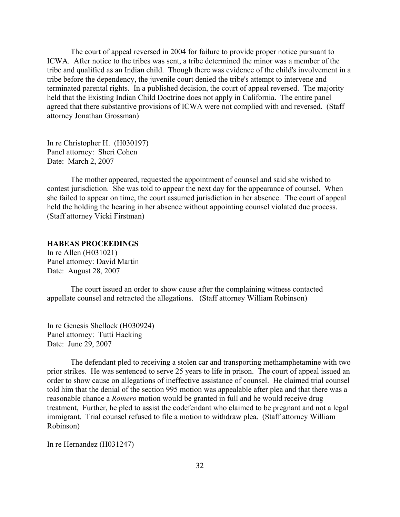<span id="page-31-0"></span>The court of appeal reversed in 2004 for failure to provide proper notice pursuant to ICWA. After notice to the tribes was sent, a tribe determined the minor was a member of the tribe and qualified as an Indian child. Though there was evidence of the child's involvement in a tribe before the dependency, the juvenile court denied the tribe's attempt to intervene and terminated parental rights. In a published decision, the court of appeal reversed. The majority held that the Existing Indian Child Doctrine does not apply in California. The entire panel agreed that there substantive provisions of ICWA were not complied with and reversed. (Staff attorney Jonathan Grossman)

In re Christopher H. (H030197) Panel attorney: Sheri Cohen Date: March 2, 2007

The mother appeared, requested the appointment of counsel and said she wished to contest jurisdiction. She was told to appear the next day for the appearance of counsel. When she failed to appear on time, the court assumed jurisdiction in her absence. The court of appeal held the holding the hearing in her absence without appointing counsel violated due process. (Staff attorney Vicki Firstman)

## **HABEAS PROCEEDINGS**

In re Allen (H031021) Panel attorney: David Martin Date: August 28, 2007

The court issued an order to show cause after the complaining witness contacted appellate counsel and retracted the allegations. (Staff attorney William Robinson)

In re Genesis Shellock (H030924) Panel attorney: Tutti Hacking Date: June 29, 2007

The defendant pled to receiving a stolen car and transporting methamphetamine with two prior strikes. He was sentenced to serve 25 years to life in prison. The court of appeal issued an order to show cause on allegations of ineffective assistance of counsel. He claimed trial counsel told him that the denial of the section 995 motion was appealable after plea and that there was a reasonable chance a *Romero* motion would be granted in full and he would receive drug treatment, Further, he pled to assist the codefendant who claimed to be pregnant and not a legal immigrant. Trial counsel refused to file a motion to withdraw plea. (Staff attorney William Robinson)

In re Hernandez (H031247)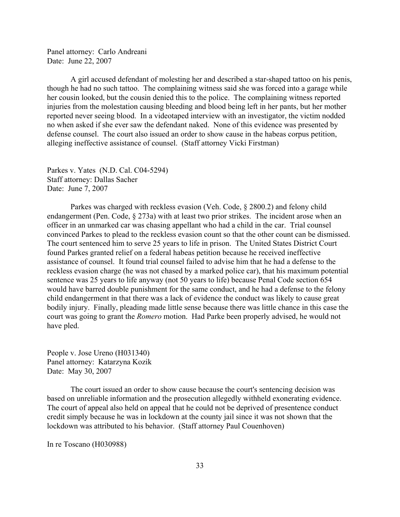Panel attorney: Carlo Andreani Date: June 22, 2007

A girl accused defendant of molesting her and described a star-shaped tattoo on his penis, though he had no such tattoo. The complaining witness said she was forced into a garage while her cousin looked, but the cousin denied this to the police. The complaining witness reported injuries from the molestation causing bleeding and blood being left in her pants, but her mother reported never seeing blood. In a videotaped interview with an investigator, the victim nodded no when asked if she ever saw the defendant naked. None of this evidence was presented by defense counsel. The court also issued an order to show cause in the habeas corpus petition, alleging ineffective assistance of counsel. (Staff attorney Vicki Firstman)

Parkes v. Yates (N.D. Cal. C04-5294) Staff attorney: Dallas Sacher Date: June 7, 2007

Parkes was charged with reckless evasion (Veh. Code, § 2800.2) and felony child endangerment (Pen. Code, § 273a) with at least two prior strikes. The incident arose when an officer in an unmarked car was chasing appellant who had a child in the car. Trial counsel convinced Parkes to plead to the reckless evasion count so that the other count can be dismissed. The court sentenced him to serve 25 years to life in prison. The United States District Court found Parkes granted relief on a federal habeas petition because he received ineffective assistance of counsel. It found trial counsel failed to advise him that he had a defense to the reckless evasion charge (he was not chased by a marked police car), that his maximum potential sentence was 25 years to life anyway (not 50 years to life) because Penal Code section 654 would have barred double punishment for the same conduct, and he had a defense to the felony child endangerment in that there was a lack of evidence the conduct was likely to cause great bodily injury. Finally, pleading made little sense because there was little chance in this case the court was going to grant the *Romero* motion. Had Parke been properly advised, he would not have pled.

People v. Jose Ureno (H031340) Panel attorney: Katarzyna Kozik Date: May 30, 2007

The court issued an order to show cause because the court's sentencing decision was based on unreliable information and the prosecution allegedly withheld exonerating evidence. The court of appeal also held on appeal that he could not be deprived of presentence conduct credit simply because he was in lockdown at the county jail since it was not shown that the lockdown was attributed to his behavior. (Staff attorney Paul Couenhoven)

In re Toscano (H030988)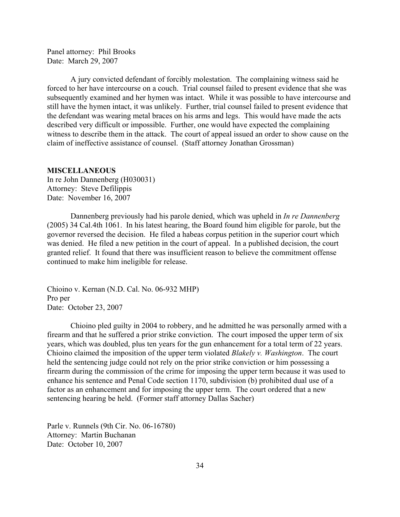<span id="page-33-0"></span>Panel attorney: Phil Brooks Date: March 29, 2007

A jury convicted defendant of forcibly molestation. The complaining witness said he forced to her have intercourse on a couch. Trial counsel failed to present evidence that she was subsequently examined and her hymen was intact. While it was possible to have intercourse and still have the hymen intact, it was unlikely. Further, trial counsel failed to present evidence that the defendant was wearing metal braces on his arms and legs. This would have made the acts described very difficult or impossible. Further, one would have expected the complaining witness to describe them in the attack. The court of appeal issued an order to show cause on the claim of ineffective assistance of counsel. (Staff attorney Jonathan Grossman)

#### **MISCELLANEOUS**

In re John Dannenberg (H030031) Attorney: Steve Defilippis Date: November 16, 2007

Dannenberg previously had his parole denied, which was upheld in *In re Dannenberg* (2005) 34 Cal.4th 1061. In his latest hearing, the Board found him eligible for parole, but the governor reversed the decision. He filed a habeas corpus petition in the superior court which was denied. He filed a new petition in the court of appeal. In a published decision, the court granted relief. It found that there was insufficient reason to believe the commitment offense continued to make him ineligible for release.

Chioino v. Kernan (N.D. Cal. No. 06-932 MHP) Pro per Date: October 23, 2007

Chioino pled guilty in 2004 to robbery, and he admitted he was personally armed with a firearm and that he suffered a prior strike conviction. The court imposed the upper term of six years, which was doubled, plus ten years for the gun enhancement for a total term of 22 years. Chioino claimed the imposition of the upper term violated *Blakely v. Washington*. The court held the sentencing judge could not rely on the prior strike conviction or him possessing a firearm during the commission of the crime for imposing the upper term because it was used to enhance his sentence and Penal Code section 1170, subdivision (b) prohibited dual use of a factor as an enhancement and for imposing the upper term. The court ordered that a new sentencing hearing be held. (Former staff attorney Dallas Sacher)

Parle v. Runnels (9th Cir. No. 06-16780) Attorney: Martin Buchanan Date: October 10, 2007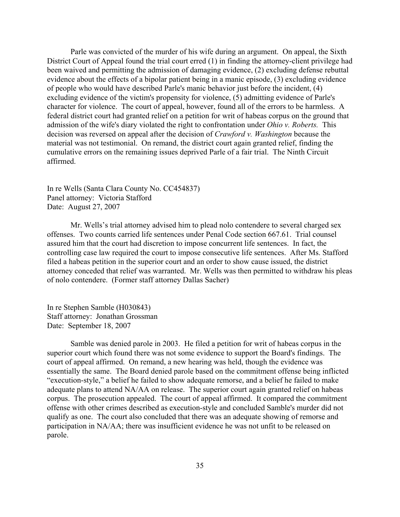Parle was convicted of the murder of his wife during an argument. On appeal, the Sixth District Court of Appeal found the trial court erred (1) in finding the attorney-client privilege had been waived and permitting the admission of damaging evidence, (2) excluding defense rebuttal evidence about the effects of a bipolar patient being in a manic episode, (3) excluding evidence of people who would have described Parle's manic behavior just before the incident, (4) excluding evidence of the victim's propensity for violence, (5) admitting evidence of Parle's character for violence. The court of appeal, however, found all of the errors to be harmless. A federal district court had granted relief on a petition for writ of habeas corpus on the ground that admission of the wife's diary violated the right to confrontation under *Ohio v. Roberts.* This decision was reversed on appeal after the decision of *Crawford v. Washington* because the material was not testimonial. On remand, the district court again granted relief, finding the cumulative errors on the remaining issues deprived Parle of a fair trial. The Ninth Circuit affirmed.

In re Wells (Santa Clara County No. CC454837) Panel attorney: Victoria Stafford Date: August 27, 2007

Mr. Wells's trial attorney advised him to plead nolo contendere to several charged sex offenses. Two counts carried life sentences under Penal Code section 667.61. Trial counsel assured him that the court had discretion to impose concurrent life sentences. In fact, the controlling case law required the court to impose consecutive life sentences. After Ms. Stafford filed a habeas petition in the superior court and an order to show cause issued, the district attorney conceded that relief was warranted. Mr. Wells was then permitted to withdraw his pleas of nolo contendere. (Former staff attorney Dallas Sacher)

In re Stephen Samble (H030843) Staff attorney: Jonathan Grossman Date: September 18, 2007

Samble was denied parole in 2003. He filed a petition for writ of habeas corpus in the superior court which found there was not some evidence to support the Board's findings. The court of appeal affirmed. On remand, a new hearing was held, though the evidence was essentially the same. The Board denied parole based on the commitment offense being inflicted "execution-style," a belief he failed to show adequate remorse, and a belief he failed to make adequate plans to attend NA/AA on release. The superior court again granted relief on habeas corpus. The prosecution appealed. The court of appeal affirmed. It compared the commitment offense with other crimes described as execution-style and concluded Samble's murder did not qualify as one. The court also concluded that there was an adequate showing of remorse and participation in NA/AA; there was insufficient evidence he was not unfit to be released on parole.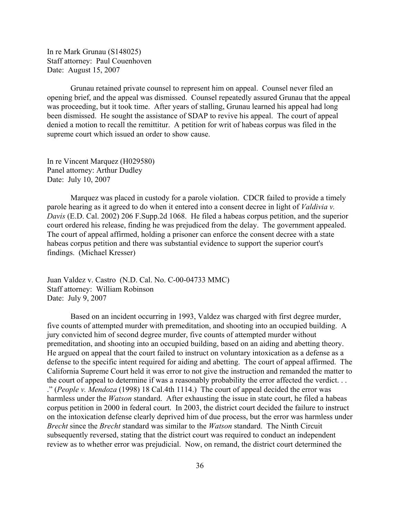In re Mark Grunau (S148025) Staff attorney: Paul Couenhoven Date: August 15, 2007

Grunau retained private counsel to represent him on appeal. Counsel never filed an opening brief, and the appeal was dismissed. Counsel repeatedly assured Grunau that the appeal was proceeding, but it took time. After years of stalling, Grunau learned his appeal had long been dismissed. He sought the assistance of SDAP to revive his appeal. The court of appeal denied a motion to recall the remittitur. A petition for writ of habeas corpus was filed in the supreme court which issued an order to show cause.

In re Vincent Marquez (H029580) Panel attorney: Arthur Dudley Date: July 10, 2007

Marquez was placed in custody for a parole violation. CDCR failed to provide a timely parole hearing as it agreed to do when it entered into a consent decree in light of *Valdivia v. Davis* (E.D. Cal. 2002) 206 F.Supp.2d 1068. He filed a habeas corpus petition, and the superior court ordered his release, finding he was prejudiced from the delay. The government appealed. The court of appeal affirmed, holding a prisoner can enforce the consent decree with a state habeas corpus petition and there was substantial evidence to support the superior court's findings. (Michael Kresser)

Juan Valdez v. Castro (N.D. Cal. No. C-00-04733 MMC) Staff attorney: William Robinson Date: July 9, 2007

Based on an incident occurring in 1993, Valdez was charged with first degree murder, five counts of attempted murder with premeditation, and shooting into an occupied building. A jury convicted him of second degree murder, five counts of attempted murder without premeditation, and shooting into an occupied building, based on an aiding and abetting theory. He argued on appeal that the court failed to instruct on voluntary intoxication as a defense as a defense to the specific intent required for aiding and abetting. The court of appeal affirmed. The California Supreme Court held it was error to not give the instruction and remanded the matter to the court of appeal to determine if was a reasonably probability the error affected the verdict. . . ." (*People v. Mendoza* (1998) 18 Cal.4th 1114.) The court of appeal decided the error was harmless under the *Watson* standard. After exhausting the issue in state court, he filed a habeas corpus petition in 2000 in federal court. In 2003, the district court decided the failure to instruct on the intoxication defense clearly deprived him of due process, but the error was harmless under *Brecht* since the *Brecht* standard was similar to the *Watson* standard. The Ninth Circuit subsequently reversed, stating that the district court was required to conduct an independent review as to whether error was prejudicial. Now, on remand, the district court determined the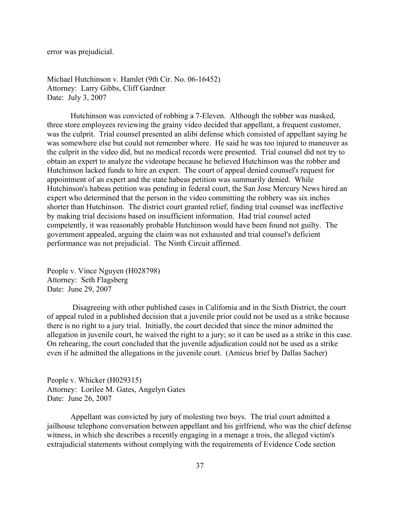error was prejudicial.

Michael Hutchinson v. Hamlet (9th Cir. No. 06-16452) Attorney: Larry Gibbs, Cliff Gardner Date: July 3, 2007

Hutchinson was convicted of robbing a 7-Eleven. Although the robber was masked, three store employees reviewing the grainy video decided that appellant, a frequent customer, was the culprit. Trial counsel presented an alibi defense which consisted of appellant saying he was somewhere else but could not remember where. He said he was too injured to maneuver as the culprit in the video did, but no medical records were presented. Trial counsel did not try to obtain an expert to analyze the videotape because he believed Hutchinson was the robber and Hutchinson lacked funds to hire an expert. The court of appeal denied counsel's request for appointment of an expert and the state habeas petition was summarily denied. While Hutchinson's habeas petition was pending in federal court, the San Jose Mercury News hired an expert who determined that the person in the video committing the robbery was six inches shorter than Hutchinson. The district court granted relief, finding trial counsel was ineffective by making trial decisions based on insufficient information. Had trial counsel acted competently, it was reasonably probable Hutchinson would have been found not guilty. The government appealed, arguing the claim was not exhausted and trial counsel's deficient performance was not prejudicial. The Ninth Circuit affirmed.

People v. Vince Nguyen (H028798) Attorney: Seth Flagsberg Date: June 29, 2007

 Disagreeing with other published cases in California and in the Sixth District, the court of appeal ruled in a published decision that a juvenile prior could not be used as a strike because there is no right to a jury trial. Initially, the court decided that since the minor admitted the allegation in juvenile court, he waived the right to a jury; so it can be used as a strike in this case. On rehearing, the court concluded that the juvenile adjudication could not be used as a strike even if he admitted the allegations in the juvenile court. (Amicus brief by Dallas Sacher)

People v. Whicker (H029315) Attorney: Lorilee M. Gates, Angelyn Gates Date: June 26, 2007

Appellant was convicted by jury of molesting two boys. The trial court admitted a jailhouse telephone conversation between appellant and his girlfriend, who was the chief defense witness, in which she describes a recently engaging in a menage a trois, the alleged victim's extrajudicial statements without complying with the requirements of Evidence Code section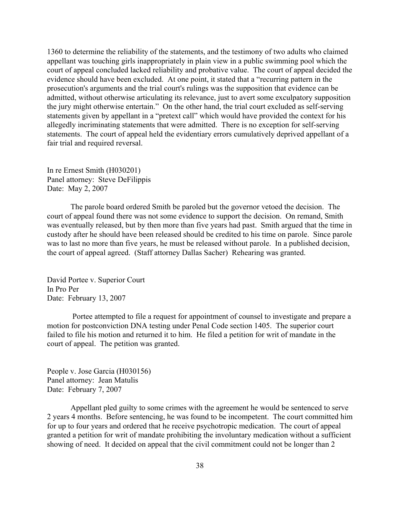1360 to determine the reliability of the statements, and the testimony of two adults who claimed appellant was touching girls inappropriately in plain view in a public swimming pool which the court of appeal concluded lacked reliability and probative value. The court of appeal decided the evidence should have been excluded. At one point, it stated that a "recurring pattern in the prosecution's arguments and the trial court's rulings was the supposition that evidence can be admitted, without otherwise articulating its relevance, just to avert some exculpatory supposition the jury might otherwise entertain." On the other hand, the trial court excluded as self-serving statements given by appellant in a "pretext call" which would have provided the context for his allegedly incriminating statements that were admitted. There is no exception for self-serving statements. The court of appeal held the evidentiary errors cumulatively deprived appellant of a fair trial and required reversal.

In re Ernest Smith (H030201) Panel attorney: Steve DeFilippis Date: May 2, 2007

The parole board ordered Smith be paroled but the governor vetoed the decision. The court of appeal found there was not some evidence to support the decision. On remand, Smith was eventually released, but by then more than five years had past. Smith argued that the time in custody after he should have been released should be credited to his time on parole. Since parole was to last no more than five years, he must be released without parole. In a published decision, the court of appeal agreed. (Staff attorney Dallas Sacher) Rehearing was granted.

David Portee v. Superior Court In Pro Per Date: February 13, 2007

 Portee attempted to file a request for appointment of counsel to investigate and prepare a motion for postconviction DNA testing under Penal Code section 1405. The superior court failed to file his motion and returned it to him. He filed a petition for writ of mandate in the court of appeal. The petition was granted.

People v. Jose Garcia (H030156) Panel attorney: Jean Matulis Date: February 7, 2007

Appellant pled guilty to some crimes with the agreement he would be sentenced to serve 2 years 4 months. Before sentencing, he was found to be incompetent. The court committed him for up to four years and ordered that he receive psychotropic medication. The court of appeal granted a petition for writ of mandate prohibiting the involuntary medication without a sufficient showing of need. It decided on appeal that the civil commitment could not be longer than 2